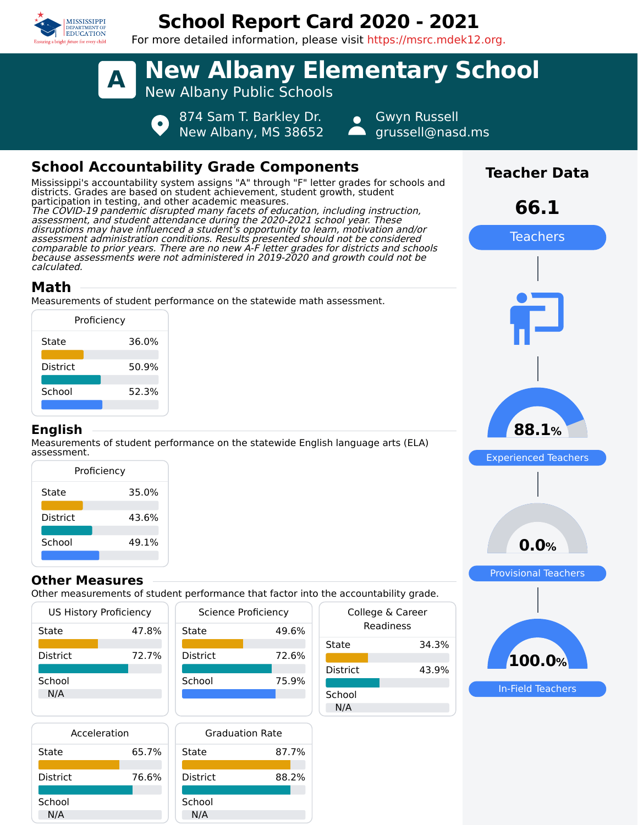

# **School Report Card 2020 - 2021**

For more detailed information, please visit https://msrc.mdek12.org.



# **School Accountability Grade Components**

Mississippi's accountability system assigns "A" through "F" letter grades for schools and districts. Grades are based on student achievement, student growth, student participation in testing, and other academic measures. The COVID-19 pandemic disrupted many facets of education, including instruction, assessment, and student attendance during the 2020-2021 school year. These disruptions may have influenced a student's opportunity to learn, motivation and/or assessment administration conditions. Results presented should not be considered comparable to prior years. There are no new A-F letter grades for districts and schools because assessments were not administered in 2019-2020 and growth could not be calculated.

## **Math**

Measurements of student performance on the statewide math assessment.

| Proficiency     |       |
|-----------------|-------|
| State           | 36.0% |
| <b>District</b> | 50.9% |
| School          | 52.3% |
|                 |       |

### **English**

Measurements of student performance on the statewide English language arts (ELA) assessment.

|                 | Proficiency |
|-----------------|-------------|
| State           | 35.0%       |
| <b>District</b> | 43.6%       |
| School          | 49.1%       |

## **Other Measures**

Other measurements of student performance that factor into the accountability grade.

|                 | <b>US History Proficiency</b> |   |
|-----------------|-------------------------------|---|
| State           | 47.8%                         | S |
| <b>District</b> | 72.7%                         | г |
| School<br>N/A   |                               |   |



| Acceleration |       |   |
|--------------|-------|---|
| State        | 65.7% | c |
| District     | 76.6% |   |
| School       |       |   |



|               | the accountability grade.     |
|---------------|-------------------------------|
|               | College & Career<br>Readiness |
| State         | 34.3%                         |
| District      | 43.9%                         |
| School<br>N/A |                               |



**Teacher Data**

In-Field Teachers